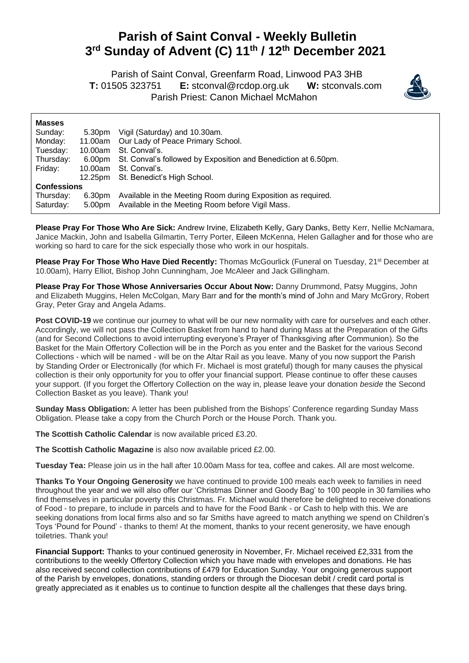## **Parish of Saint Conval - Weekly Bulletin 3 rd Sunday of Advent (C) 11th / 12th December 2021**

 Parish of Saint Conval, Greenfarm Road, Linwood PA3 3HB **T:** 01505 323751 **E:** [stconval@rcdop.org.uk](mailto:stconval@rcdop.org.uk) **W:** stconvals.com Parish Priest: Canon Michael McMahon



| <b>Masses</b>      |         |                                                                       |  |
|--------------------|---------|-----------------------------------------------------------------------|--|
| Sunday:            | 5.30pm  | Vigil (Saturday) and 10.30am.                                         |  |
| Monday:            | 11.00am | Our Lady of Peace Primary School.                                     |  |
| Tuesday:           | 10.00am | St. Conval's.                                                         |  |
| Thursday:          |         | 6.00pm St. Conval's followed by Exposition and Benediction at 6.50pm. |  |
| Friday:            | 10.00am | St. Conval's.                                                         |  |
|                    | 12.25pm | St. Benedict's High School.                                           |  |
| <b>Confessions</b> |         |                                                                       |  |
| Thursday:          | 6.30pm  | Available in the Meeting Room during Exposition as required.          |  |
| Saturday:          | 5.00pm  | Available in the Meeting Room before Vigil Mass.                      |  |

**Please Pray For Those Who Are Sick:** Andrew Irvine, Elizabeth Kelly, Gary Danks, Betty Kerr, Nellie McNamara, Janice Mackin, John and Isabella Gilmartin, Terry Porter, Eileen McKenna, Helen Gallagher and for those who are working so hard to care for the sick especially those who work in our hospitals.

**Please Pray For Those Who Have Died Recently:** Thomas McGourlick (Funeral on Tuesday, 21<sup>st</sup> December at 10.00am), Harry Elliot, Bishop John Cunningham, Joe McAleer and Jack Gillingham.

**Please Pray For Those Whose Anniversaries Occur About Now:** Danny Drummond, Patsy Muggins, John and Elizabeth Muggins, Helen McColgan, Mary Barr and for the month's mind of John and Mary McGrory, Robert Gray, Peter Gray and Angela Adams.

Post COVID-19 we continue our journey to what will be our new normality with care for ourselves and each other. Accordingly, we will not pass the Collection Basket from hand to hand during Mass at the Preparation of the Gifts (and for Second Collections to avoid interrupting everyone's Prayer of Thanksgiving after Communion). So the Basket for the Main Offertory Collection will be in the Porch as you enter and the Basket for the various Second Collections - which will be named - will be on the Altar Rail as you leave. Many of you now support the Parish by Standing Order or Electronically (for which Fr. Michael is most grateful) though for many causes the physical collection is their only opportunity for you to offer your financial support. Please continue to offer these causes your support. (If you forget the Offertory Collection on the way in, please leave your donation *beside* the Second Collection Basket as you leave). Thank you!

**Sunday Mass Obligation:** A letter has been published from the Bishops' Conference regarding Sunday Mass Obligation. Please take a copy from the Church Porch or the House Porch. Thank you.

**The Scottish Catholic Calendar** is now available priced £3.20.

**The Scottish Catholic Magazine** is also now available priced £2.00.

**Tuesday Tea:** Please join us in the hall after 10.00am Mass for tea, coffee and cakes. All are most welcome.

**Thanks To Your Ongoing Generosity** we have continued to provide 100 meals each week to families in need throughout the year and we will also offer our 'Christmas Dinner and Goody Bag' to 100 people in 30 families who find themselves in particular poverty this Christmas. Fr. Michael would therefore be delighted to receive donations of Food - to prepare, to include in parcels and to have for the Food Bank - or Cash to help with this. We are seeking donations from local firms also and so far Smiths have agreed to match anything we spend on Children's Toys 'Pound for Pound' - thanks to them! At the moment, thanks to your recent generosity, we have enough toiletries. Thank you!

**Financial Support:** Thanks to your continued generosity in November, Fr. Michael received £2,331 from the contributions to the weekly Offertory Collection which you have made with envelopes and donations. He has also received second collection contributions of £479 for Education Sunday. Your ongoing generous support of the Parish by envelopes, donations, standing orders or through the Diocesan debit / credit card portal is greatly appreciated as it enables us to continue to function despite all the challenges that these days bring.